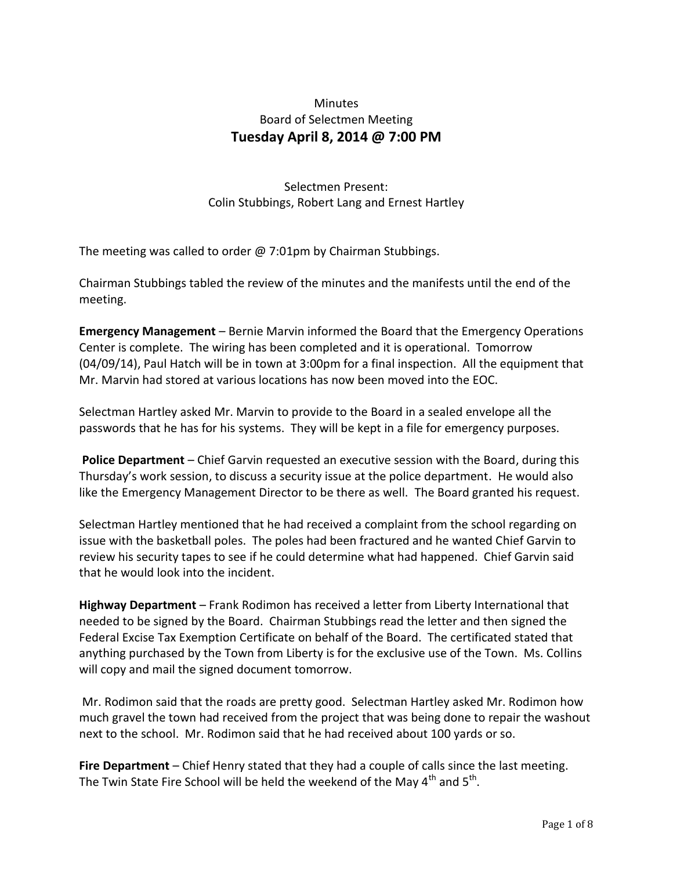## Minutes Board of Selectmen Meeting **Tuesday April 8, 2014 @ 7:00 PM**

Selectmen Present: Colin Stubbings, Robert Lang and Ernest Hartley

The meeting was called to order  $\omega$  7:01pm by Chairman Stubbings.

Chairman Stubbings tabled the review of the minutes and the manifests until the end of the meeting.

**Emergency Management** – Bernie Marvin informed the Board that the Emergency Operations Center is complete. The wiring has been completed and it is operational. Tomorrow (04/09/14), Paul Hatch will be in town at 3:00pm for a final inspection. All the equipment that Mr. Marvin had stored at various locations has now been moved into the EOC.

Selectman Hartley asked Mr. Marvin to provide to the Board in a sealed envelope all the passwords that he has for his systems. They will be kept in a file for emergency purposes.

**Police Department** – Chief Garvin requested an executive session with the Board, during this Thursday's work session, to discuss a security issue at the police department. He would also like the Emergency Management Director to be there as well. The Board granted his request.

Selectman Hartley mentioned that he had received a complaint from the school regarding on issue with the basketball poles. The poles had been fractured and he wanted Chief Garvin to review his security tapes to see if he could determine what had happened. Chief Garvin said that he would look into the incident.

**Highway Department** – Frank Rodimon has received a letter from Liberty International that needed to be signed by the Board. Chairman Stubbings read the letter and then signed the Federal Excise Tax Exemption Certificate on behalf of the Board. The certificated stated that anything purchased by the Town from Liberty is for the exclusive use of the Town. Ms. Collins will copy and mail the signed document tomorrow.

Mr. Rodimon said that the roads are pretty good. Selectman Hartley asked Mr. Rodimon how much gravel the town had received from the project that was being done to repair the washout next to the school. Mr. Rodimon said that he had received about 100 yards or so.

**Fire Department** – Chief Henry stated that they had a couple of calls since the last meeting. The Twin State Fire School will be held the weekend of the May 4<sup>th</sup> and 5<sup>th</sup>.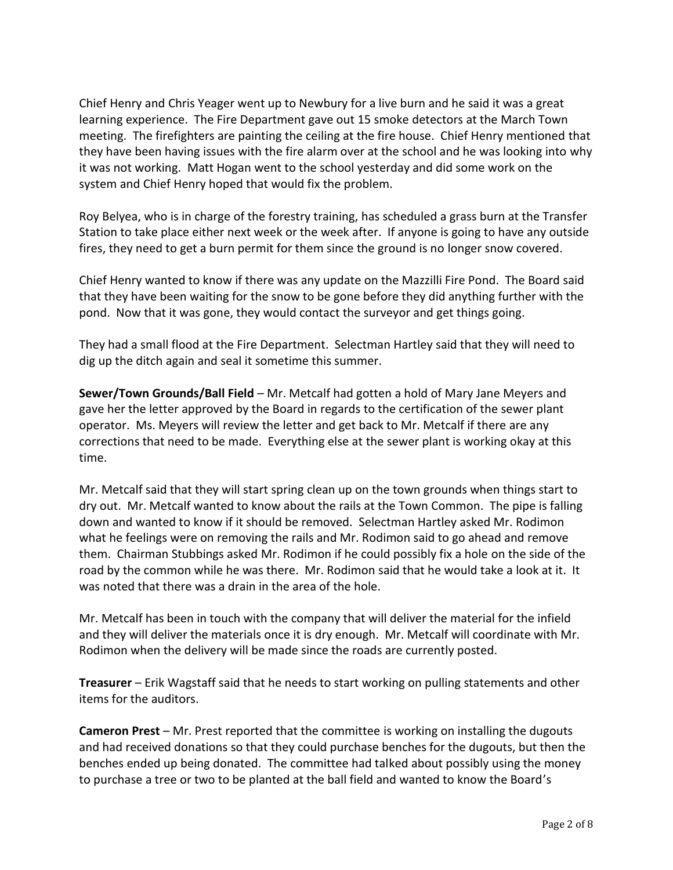Chief Henry and Chris Yeager went up to Newbury for a live burn and he said it was a great learning experience. The Fire Department gave out 15 smoke detectors at the March Town meeting. The firefighters are painting the ceiling at the fire house. Chief Henry mentioned that they have been having issues with the fire alarm over at the school and he was looking into why it was not working. Matt Hogan went to the school yesterday and did some work on the system and Chief Henry hoped that would fix the problem.

Roy Belyea, who is in charge of the forestry training, has scheduled a grass burn at the Transfer Station to take place either next week or the week after. If anyone is going to have any outside fires, they need to get a burn permit for them since the ground is no longer snow covered.

Chief Henry wanted to know if there was any update on the Mazzilli Fire Pond. The Board said that they have been waiting for the snow to be gone before they did anything further with the pond. Now that it was gone, they would contact the surveyor and get things going.

They had a small flood at the Fire Department. Selectman Hartley said that they will need to dig up the ditch again and seal it sometime this summer.

**Sewer/Town Grounds/Ball Field** – Mr. Metcalf had gotten a hold of Mary Jane Meyers and gave her the letter approved by the Board in regards to the certification of the sewer plant operator. Ms. Meyers will review the letter and get back to Mr. Metcalf if there are any corrections that need to be made. Everything else at the sewer plant is working okay at this time.

Mr. Metcalf said that they will start spring clean up on the town grounds when things start to dry out. Mr. Metcalf wanted to know about the rails at the Town Common. The pipe is falling down and wanted to know if it should be removed. Selectman Hartley asked Mr. Rodimon what he feelings were on removing the rails and Mr. Rodimon said to go ahead and remove them. Chairman Stubbings asked Mr. Rodimon if he could possibly fix a hole on the side of the road by the common while he was there. Mr. Rodimon said that he would take a look at it. It was noted that there was a drain in the area of the hole.

Mr. Metcalf has been in touch with the company that will deliver the material for the infield and they will deliver the materials once it is dry enough. Mr. Metcalf will coordinate with Mr. Rodimon when the delivery will be made since the roads are currently posted.

**Treasurer** – Erik Wagstaff said that he needs to start working on pulling statements and other items for the auditors.

**Cameron Prest** – Mr. Prest reported that the committee is working on installing the dugouts and had received donations so that they could purchase benches for the dugouts, but then the benches ended up being donated. The committee had talked about possibly using the money to purchase a tree or two to be planted at the ball field and wanted to know the Board's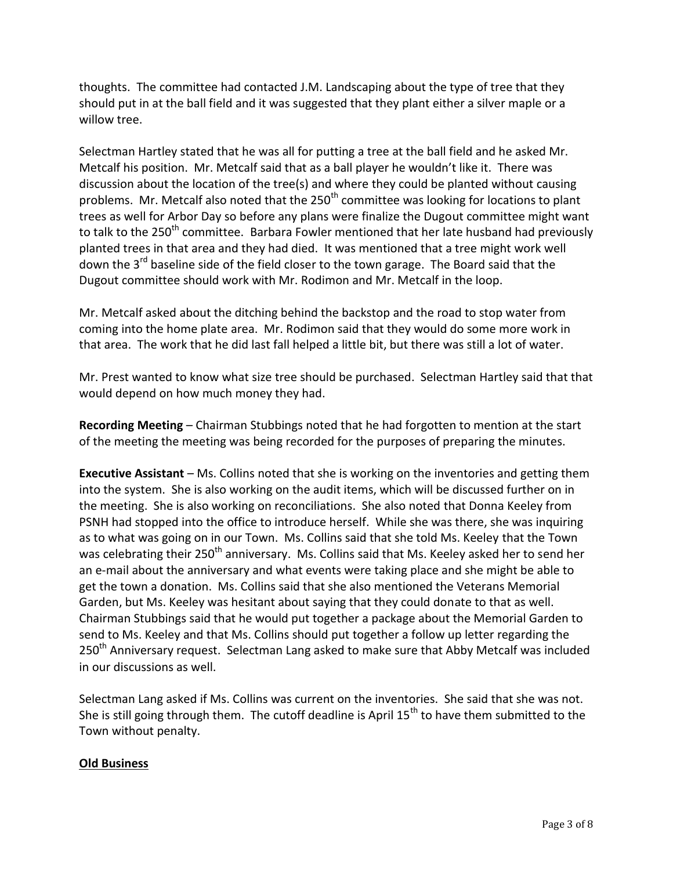thoughts. The committee had contacted J.M. Landscaping about the type of tree that they should put in at the ball field and it was suggested that they plant either a silver maple or a willow tree.

Selectman Hartley stated that he was all for putting a tree at the ball field and he asked Mr. Metcalf his position. Mr. Metcalf said that as a ball player he wouldn't like it. There was discussion about the location of the tree(s) and where they could be planted without causing problems. Mr. Metcalf also noted that the 250<sup>th</sup> committee was looking for locations to plant trees as well for Arbor Day so before any plans were finalize the Dugout committee might want to talk to the 250<sup>th</sup> committee. Barbara Fowler mentioned that her late husband had previously planted trees in that area and they had died. It was mentioned that a tree might work well down the 3<sup>rd</sup> baseline side of the field closer to the town garage. The Board said that the Dugout committee should work with Mr. Rodimon and Mr. Metcalf in the loop.

Mr. Metcalf asked about the ditching behind the backstop and the road to stop water from coming into the home plate area. Mr. Rodimon said that they would do some more work in that area. The work that he did last fall helped a little bit, but there was still a lot of water.

Mr. Prest wanted to know what size tree should be purchased. Selectman Hartley said that that would depend on how much money they had.

**Recording Meeting** – Chairman Stubbings noted that he had forgotten to mention at the start of the meeting the meeting was being recorded for the purposes of preparing the minutes.

**Executive Assistant** – Ms. Collins noted that she is working on the inventories and getting them into the system. She is also working on the audit items, which will be discussed further on in the meeting. She is also working on reconciliations. She also noted that Donna Keeley from PSNH had stopped into the office to introduce herself. While she was there, she was inquiring as to what was going on in our Town. Ms. Collins said that she told Ms. Keeley that the Town was celebrating their 250<sup>th</sup> anniversary. Ms. Collins said that Ms. Keeley asked her to send her an e-mail about the anniversary and what events were taking place and she might be able to get the town a donation. Ms. Collins said that she also mentioned the Veterans Memorial Garden, but Ms. Keeley was hesitant about saying that they could donate to that as well. Chairman Stubbings said that he would put together a package about the Memorial Garden to send to Ms. Keeley and that Ms. Collins should put together a follow up letter regarding the 250<sup>th</sup> Anniversary request. Selectman Lang asked to make sure that Abby Metcalf was included in our discussions as well.

Selectman Lang asked if Ms. Collins was current on the inventories. She said that she was not. She is still going through them. The cutoff deadline is April  $15<sup>th</sup>$  to have them submitted to the Town without penalty.

## **Old Business**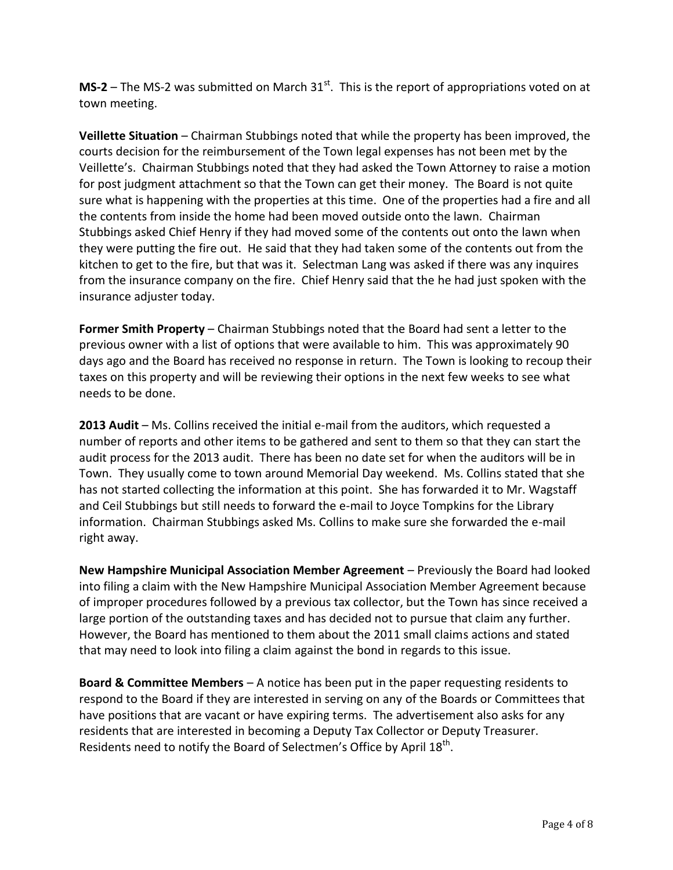**MS-2** – The MS-2 was submitted on March  $31<sup>st</sup>$ . This is the report of appropriations voted on at town meeting.

**Veillette Situation** – Chairman Stubbings noted that while the property has been improved, the courts decision for the reimbursement of the Town legal expenses has not been met by the Veillette's. Chairman Stubbings noted that they had asked the Town Attorney to raise a motion for post judgment attachment so that the Town can get their money. The Board is not quite sure what is happening with the properties at this time. One of the properties had a fire and all the contents from inside the home had been moved outside onto the lawn. Chairman Stubbings asked Chief Henry if they had moved some of the contents out onto the lawn when they were putting the fire out. He said that they had taken some of the contents out from the kitchen to get to the fire, but that was it. Selectman Lang was asked if there was any inquires from the insurance company on the fire. Chief Henry said that the he had just spoken with the insurance adjuster today.

**Former Smith Property** – Chairman Stubbings noted that the Board had sent a letter to the previous owner with a list of options that were available to him. This was approximately 90 days ago and the Board has received no response in return. The Town is looking to recoup their taxes on this property and will be reviewing their options in the next few weeks to see what needs to be done.

**2013 Audit** – Ms. Collins received the initial e-mail from the auditors, which requested a number of reports and other items to be gathered and sent to them so that they can start the audit process for the 2013 audit. There has been no date set for when the auditors will be in Town. They usually come to town around Memorial Day weekend. Ms. Collins stated that she has not started collecting the information at this point. She has forwarded it to Mr. Wagstaff and Ceil Stubbings but still needs to forward the e-mail to Joyce Tompkins for the Library information. Chairman Stubbings asked Ms. Collins to make sure she forwarded the e-mail right away.

**New Hampshire Municipal Association Member Agreement** – Previously the Board had looked into filing a claim with the New Hampshire Municipal Association Member Agreement because of improper procedures followed by a previous tax collector, but the Town has since received a large portion of the outstanding taxes and has decided not to pursue that claim any further. However, the Board has mentioned to them about the 2011 small claims actions and stated that may need to look into filing a claim against the bond in regards to this issue.

**Board & Committee Members** – A notice has been put in the paper requesting residents to respond to the Board if they are interested in serving on any of the Boards or Committees that have positions that are vacant or have expiring terms. The advertisement also asks for any residents that are interested in becoming a Deputy Tax Collector or Deputy Treasurer. Residents need to notify the Board of Selectmen's Office by April  $18<sup>th</sup>$ .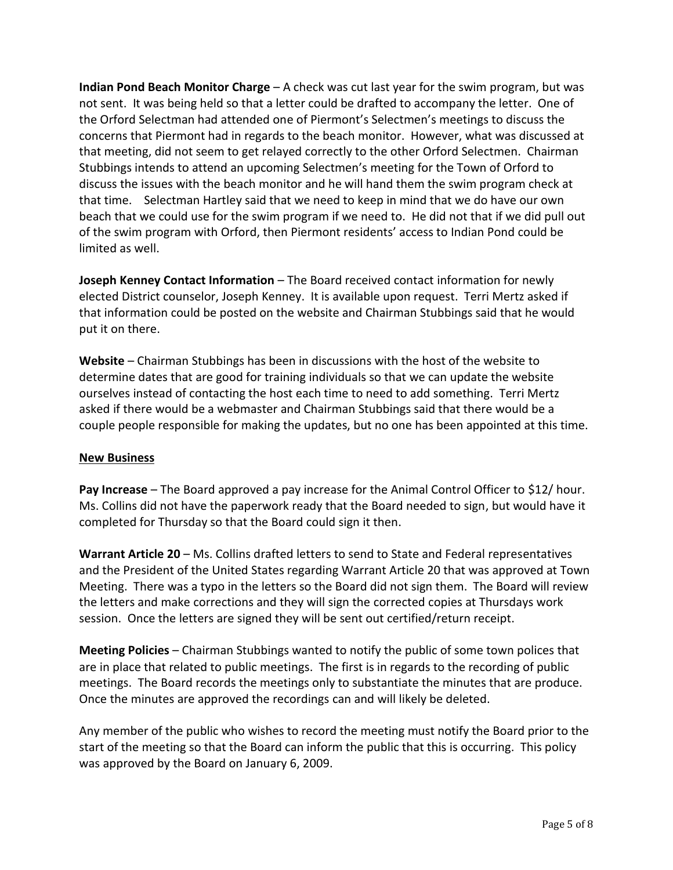**Indian Pond Beach Monitor Charge** – A check was cut last year for the swim program, but was not sent. It was being held so that a letter could be drafted to accompany the letter. One of the Orford Selectman had attended one of Piermont's Selectmen's meetings to discuss the concerns that Piermont had in regards to the beach monitor. However, what was discussed at that meeting, did not seem to get relayed correctly to the other Orford Selectmen. Chairman Stubbings intends to attend an upcoming Selectmen's meeting for the Town of Orford to discuss the issues with the beach monitor and he will hand them the swim program check at that time. Selectman Hartley said that we need to keep in mind that we do have our own beach that we could use for the swim program if we need to. He did not that if we did pull out of the swim program with Orford, then Piermont residents' access to Indian Pond could be limited as well.

**Joseph Kenney Contact Information** – The Board received contact information for newly elected District counselor, Joseph Kenney. It is available upon request. Terri Mertz asked if that information could be posted on the website and Chairman Stubbings said that he would put it on there.

**Website** – Chairman Stubbings has been in discussions with the host of the website to determine dates that are good for training individuals so that we can update the website ourselves instead of contacting the host each time to need to add something. Terri Mertz asked if there would be a webmaster and Chairman Stubbings said that there would be a couple people responsible for making the updates, but no one has been appointed at this time.

## **New Business**

**Pay Increase** – The Board approved a pay increase for the Animal Control Officer to \$12/ hour. Ms. Collins did not have the paperwork ready that the Board needed to sign, but would have it completed for Thursday so that the Board could sign it then.

**Warrant Article 20** – Ms. Collins drafted letters to send to State and Federal representatives and the President of the United States regarding Warrant Article 20 that was approved at Town Meeting. There was a typo in the letters so the Board did not sign them. The Board will review the letters and make corrections and they will sign the corrected copies at Thursdays work session. Once the letters are signed they will be sent out certified/return receipt.

**Meeting Policies** – Chairman Stubbings wanted to notify the public of some town polices that are in place that related to public meetings. The first is in regards to the recording of public meetings. The Board records the meetings only to substantiate the minutes that are produce. Once the minutes are approved the recordings can and will likely be deleted.

Any member of the public who wishes to record the meeting must notify the Board prior to the start of the meeting so that the Board can inform the public that this is occurring. This policy was approved by the Board on January 6, 2009.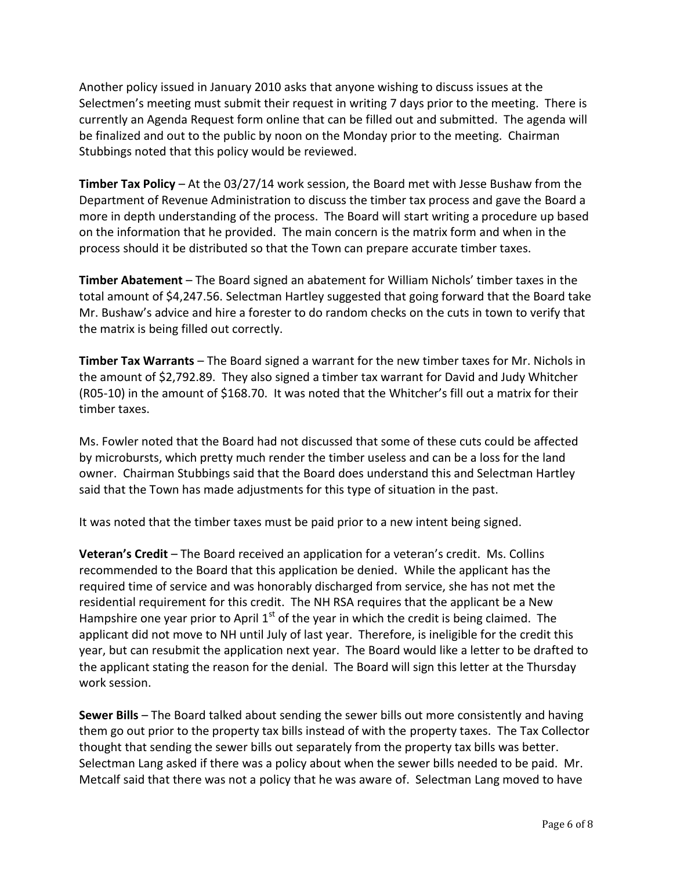Another policy issued in January 2010 asks that anyone wishing to discuss issues at the Selectmen's meeting must submit their request in writing 7 days prior to the meeting. There is currently an Agenda Request form online that can be filled out and submitted. The agenda will be finalized and out to the public by noon on the Monday prior to the meeting. Chairman Stubbings noted that this policy would be reviewed.

**Timber Tax Policy** – At the 03/27/14 work session, the Board met with Jesse Bushaw from the Department of Revenue Administration to discuss the timber tax process and gave the Board a more in depth understanding of the process. The Board will start writing a procedure up based on the information that he provided. The main concern is the matrix form and when in the process should it be distributed so that the Town can prepare accurate timber taxes.

**Timber Abatement** – The Board signed an abatement for William Nichols' timber taxes in the total amount of \$4,247.56. Selectman Hartley suggested that going forward that the Board take Mr. Bushaw's advice and hire a forester to do random checks on the cuts in town to verify that the matrix is being filled out correctly.

**Timber Tax Warrants** – The Board signed a warrant for the new timber taxes for Mr. Nichols in the amount of \$2,792.89. They also signed a timber tax warrant for David and Judy Whitcher (R05-10) in the amount of \$168.70. It was noted that the Whitcher's fill out a matrix for their timber taxes.

Ms. Fowler noted that the Board had not discussed that some of these cuts could be affected by microbursts, which pretty much render the timber useless and can be a loss for the land owner. Chairman Stubbings said that the Board does understand this and Selectman Hartley said that the Town has made adjustments for this type of situation in the past.

It was noted that the timber taxes must be paid prior to a new intent being signed.

**Veteran's Credit** – The Board received an application for a veteran's credit. Ms. Collins recommended to the Board that this application be denied. While the applicant has the required time of service and was honorably discharged from service, she has not met the residential requirement for this credit. The NH RSA requires that the applicant be a New Hampshire one year prior to April  $1<sup>st</sup>$  of the year in which the credit is being claimed. The applicant did not move to NH until July of last year. Therefore, is ineligible for the credit this year, but can resubmit the application next year. The Board would like a letter to be drafted to the applicant stating the reason for the denial. The Board will sign this letter at the Thursday work session.

**Sewer Bills** – The Board talked about sending the sewer bills out more consistently and having them go out prior to the property tax bills instead of with the property taxes. The Tax Collector thought that sending the sewer bills out separately from the property tax bills was better. Selectman Lang asked if there was a policy about when the sewer bills needed to be paid. Mr. Metcalf said that there was not a policy that he was aware of. Selectman Lang moved to have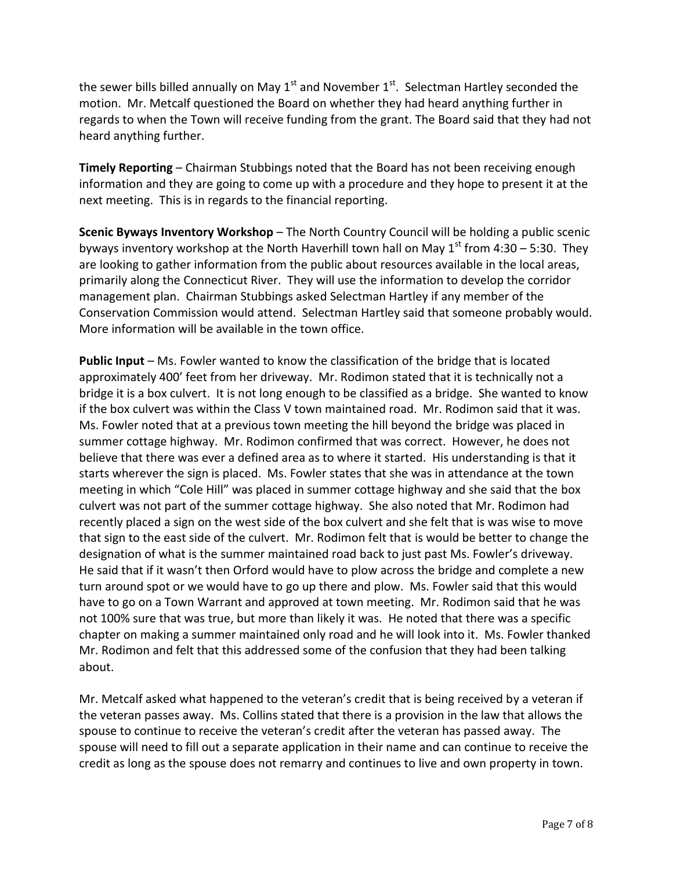the sewer bills billed annually on May 1<sup>st</sup> and November 1<sup>st</sup>. Selectman Hartley seconded the motion. Mr. Metcalf questioned the Board on whether they had heard anything further in regards to when the Town will receive funding from the grant. The Board said that they had not heard anything further.

**Timely Reporting** – Chairman Stubbings noted that the Board has not been receiving enough information and they are going to come up with a procedure and they hope to present it at the next meeting. This is in regards to the financial reporting.

**Scenic Byways Inventory Workshop** – The North Country Council will be holding a public scenic byways inventory workshop at the North Haverhill town hall on May  $1<sup>st</sup>$  from 4:30 – 5:30. They are looking to gather information from the public about resources available in the local areas, primarily along the Connecticut River. They will use the information to develop the corridor management plan. Chairman Stubbings asked Selectman Hartley if any member of the Conservation Commission would attend. Selectman Hartley said that someone probably would. More information will be available in the town office.

**Public Input** – Ms. Fowler wanted to know the classification of the bridge that is located approximately 400' feet from her driveway. Mr. Rodimon stated that it is technically not a bridge it is a box culvert. It is not long enough to be classified as a bridge. She wanted to know if the box culvert was within the Class V town maintained road. Mr. Rodimon said that it was. Ms. Fowler noted that at a previous town meeting the hill beyond the bridge was placed in summer cottage highway. Mr. Rodimon confirmed that was correct. However, he does not believe that there was ever a defined area as to where it started. His understanding is that it starts wherever the sign is placed. Ms. Fowler states that she was in attendance at the town meeting in which "Cole Hill" was placed in summer cottage highway and she said that the box culvert was not part of the summer cottage highway. She also noted that Mr. Rodimon had recently placed a sign on the west side of the box culvert and she felt that is was wise to move that sign to the east side of the culvert. Mr. Rodimon felt that is would be better to change the designation of what is the summer maintained road back to just past Ms. Fowler's driveway. He said that if it wasn't then Orford would have to plow across the bridge and complete a new turn around spot or we would have to go up there and plow. Ms. Fowler said that this would have to go on a Town Warrant and approved at town meeting. Mr. Rodimon said that he was not 100% sure that was true, but more than likely it was. He noted that there was a specific chapter on making a summer maintained only road and he will look into it. Ms. Fowler thanked Mr. Rodimon and felt that this addressed some of the confusion that they had been talking about.

Mr. Metcalf asked what happened to the veteran's credit that is being received by a veteran if the veteran passes away. Ms. Collins stated that there is a provision in the law that allows the spouse to continue to receive the veteran's credit after the veteran has passed away. The spouse will need to fill out a separate application in their name and can continue to receive the credit as long as the spouse does not remarry and continues to live and own property in town.